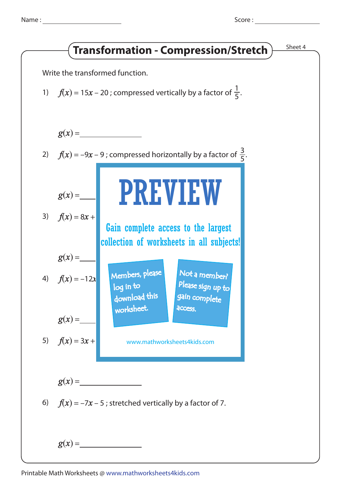